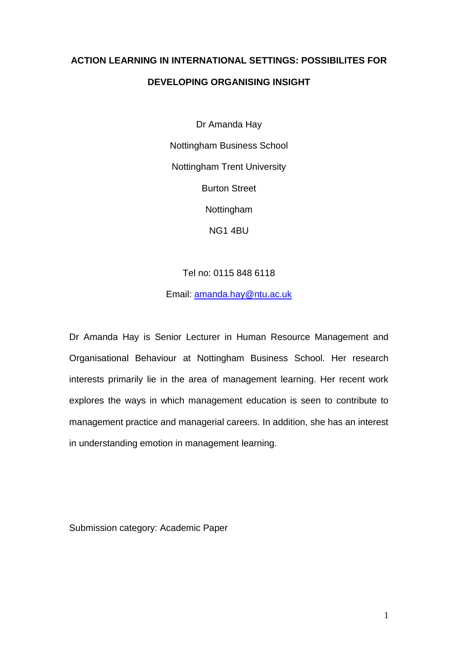# **ACTION LEARNING IN INTERNATIONAL SETTINGS: POSSIBILITES FOR DEVELOPING ORGANISING INSIGHT**

Dr Amanda Hay Nottingham Business School Nottingham Trent University Burton Street Nottingham NG1 4BU

Tel no: 0115 848 6118

Email: [amanda.hay@ntu.ac.uk](mailto:amanda.hay@ntu.ac.uk)

Dr Amanda Hay is Senior Lecturer in Human Resource Management and Organisational Behaviour at Nottingham Business School. Her research interests primarily lie in the area of management learning. Her recent work explores the ways in which management education is seen to contribute to management practice and managerial careers. In addition, she has an interest in understanding emotion in management learning.

Submission category: Academic Paper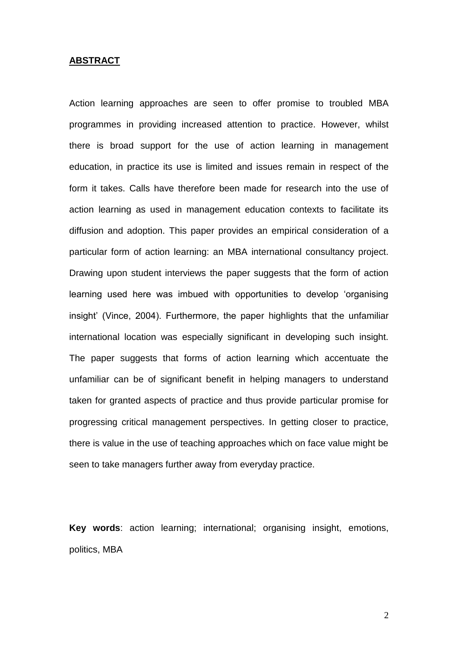### **ABSTRACT**

Action learning approaches are seen to offer promise to troubled MBA programmes in providing increased attention to practice. However, whilst there is broad support for the use of action learning in management education, in practice its use is limited and issues remain in respect of the form it takes. Calls have therefore been made for research into the use of action learning as used in management education contexts to facilitate its diffusion and adoption. This paper provides an empirical consideration of a particular form of action learning: an MBA international consultancy project. Drawing upon student interviews the paper suggests that the form of action learning used here was imbued with opportunities to develop 'organising insight' (Vince, 2004). Furthermore, the paper highlights that the unfamiliar international location was especially significant in developing such insight. The paper suggests that forms of action learning which accentuate the unfamiliar can be of significant benefit in helping managers to understand taken for granted aspects of practice and thus provide particular promise for progressing critical management perspectives. In getting closer to practice, there is value in the use of teaching approaches which on face value might be seen to take managers further away from everyday practice.

**Key words**: action learning; international; organising insight, emotions, politics, MBA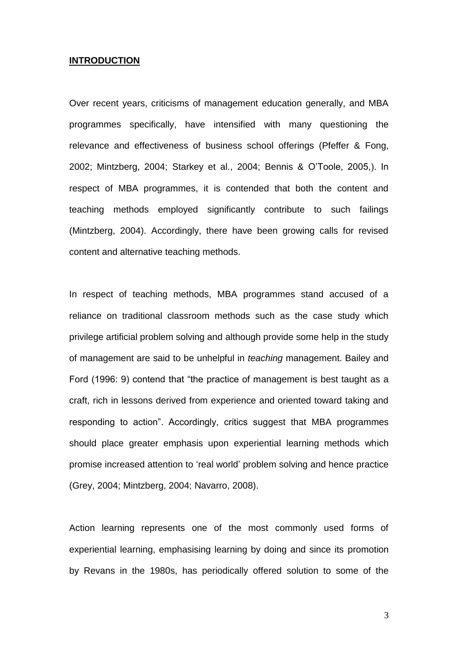# **INTRODUCTION**

Over recent years, criticisms of management education generally, and MBA programmes specifically, have intensified with many questioning the relevance and effectiveness of business school offerings (Pfeffer & Fong, 2002; Mintzberg, 2004; Starkey et al., 2004; Bennis & O'Toole, 2005,). In respect of MBA programmes, it is contended that both the content and teaching methods employed significantly contribute to such failings (Mintzberg, 2004). Accordingly, there have been growing calls for revised content and alternative teaching methods.

In respect of teaching methods, MBA programmes stand accused of a reliance on traditional classroom methods such as the case study which privilege artificial problem solving and although provide some help in the study of management are said to be unhelpful in *teaching* management. Bailey and Ford (1996: 9) contend that "the practice of management is best taught as a craft, rich in lessons derived from experience and oriented toward taking and responding to action". Accordingly, critics suggest that MBA programmes should place greater emphasis upon experiential learning methods which promise increased attention to 'real world' problem solving and hence practice (Grey, 2004; Mintzberg, 2004; Navarro, 2008).

Action learning represents one of the most commonly used forms of experiential learning, emphasising learning by doing and since its promotion by Revans in the 1980s, has periodically offered solution to some of the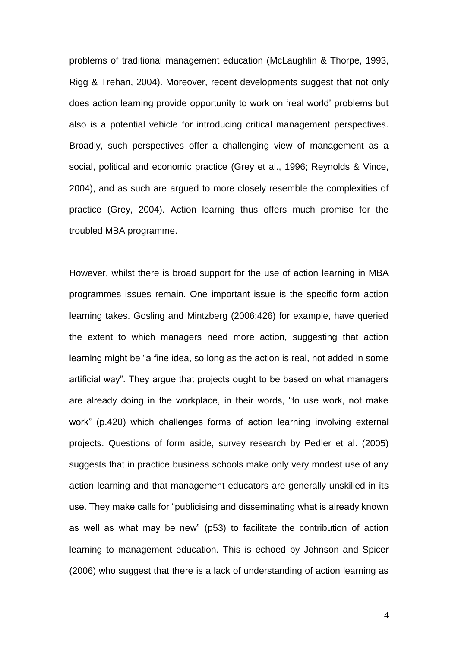problems of traditional management education (McLaughlin & Thorpe, 1993, Rigg & Trehan, 2004). Moreover, recent developments suggest that not only does action learning provide opportunity to work on 'real world' problems but also is a potential vehicle for introducing critical management perspectives. Broadly, such perspectives offer a challenging view of management as a social, political and economic practice (Grey et al., 1996; Reynolds & Vince, 2004), and as such are argued to more closely resemble the complexities of practice (Grey, 2004). Action learning thus offers much promise for the troubled MBA programme.

However, whilst there is broad support for the use of action learning in MBA programmes issues remain. One important issue is the specific form action learning takes. Gosling and Mintzberg (2006:426) for example, have queried the extent to which managers need more action, suggesting that action learning might be "a fine idea, so long as the action is real, not added in some artificial way". They argue that projects ought to be based on what managers are already doing in the workplace, in their words, "to use work, not make work" (p.420) which challenges forms of action learning involving external projects. Questions of form aside, survey research by Pedler et al. (2005) suggests that in practice business schools make only very modest use of any action learning and that management educators are generally unskilled in its use. They make calls for "publicising and disseminating what is already known as well as what may be new" (p53) to facilitate the contribution of action learning to management education. This is echoed by Johnson and Spicer (2006) who suggest that there is a lack of understanding of action learning as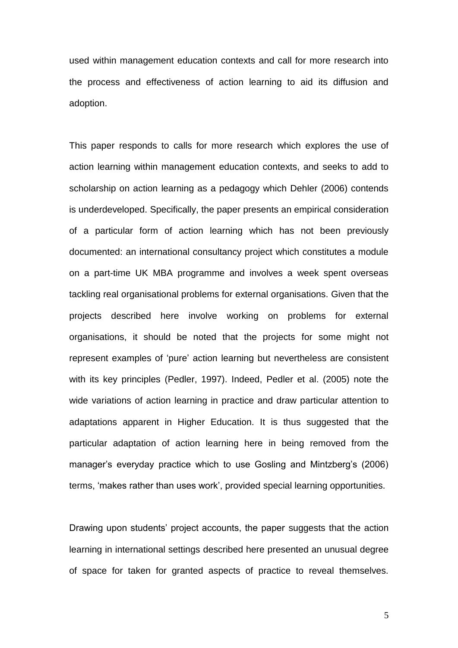used within management education contexts and call for more research into the process and effectiveness of action learning to aid its diffusion and adoption.

This paper responds to calls for more research which explores the use of action learning within management education contexts, and seeks to add to scholarship on action learning as a pedagogy which Dehler (2006) contends is underdeveloped. Specifically, the paper presents an empirical consideration of a particular form of action learning which has not been previously documented: an international consultancy project which constitutes a module on a part-time UK MBA programme and involves a week spent overseas tackling real organisational problems for external organisations. Given that the projects described here involve working on problems for external organisations, it should be noted that the projects for some might not represent examples of 'pure' action learning but nevertheless are consistent with its key principles (Pedler, 1997). Indeed, Pedler et al. (2005) note the wide variations of action learning in practice and draw particular attention to adaptations apparent in Higher Education. It is thus suggested that the particular adaptation of action learning here in being removed from the manager's everyday practice which to use Gosling and Mintzberg's (2006) terms, 'makes rather than uses work', provided special learning opportunities.

Drawing upon students' project accounts, the paper suggests that the action learning in international settings described here presented an unusual degree of space for taken for granted aspects of practice to reveal themselves.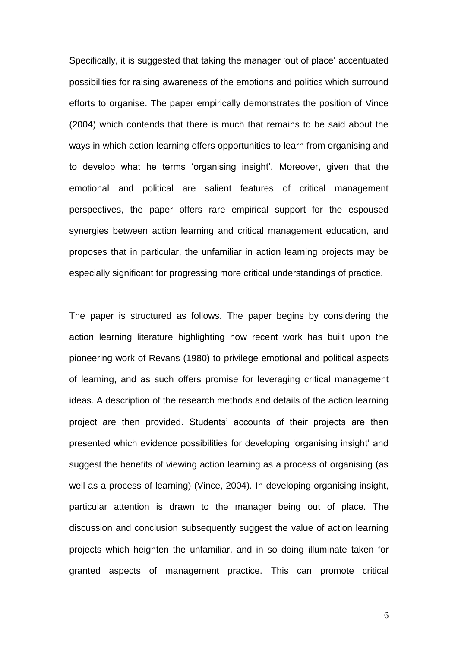Specifically, it is suggested that taking the manager 'out of place' accentuated possibilities for raising awareness of the emotions and politics which surround efforts to organise. The paper empirically demonstrates the position of Vince (2004) which contends that there is much that remains to be said about the ways in which action learning offers opportunities to learn from organising and to develop what he terms 'organising insight'. Moreover, given that the emotional and political are salient features of critical management perspectives, the paper offers rare empirical support for the espoused synergies between action learning and critical management education, and proposes that in particular, the unfamiliar in action learning projects may be especially significant for progressing more critical understandings of practice.

The paper is structured as follows. The paper begins by considering the action learning literature highlighting how recent work has built upon the pioneering work of Revans (1980) to privilege emotional and political aspects of learning, and as such offers promise for leveraging critical management ideas. A description of the research methods and details of the action learning project are then provided. Students' accounts of their projects are then presented which evidence possibilities for developing 'organising insight' and suggest the benefits of viewing action learning as a process of organising (as well as a process of learning) (Vince, 2004). In developing organising insight, particular attention is drawn to the manager being out of place. The discussion and conclusion subsequently suggest the value of action learning projects which heighten the unfamiliar, and in so doing illuminate taken for granted aspects of management practice. This can promote critical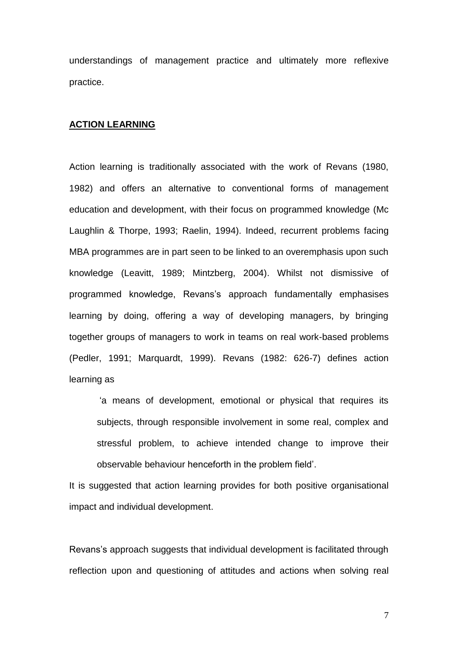understandings of management practice and ultimately more reflexive practice.

# **ACTION LEARNING**

Action learning is traditionally associated with the work of Revans (1980, 1982) and offers an alternative to conventional forms of management education and development, with their focus on programmed knowledge (Mc Laughlin & Thorpe, 1993; Raelin, 1994). Indeed, recurrent problems facing MBA programmes are in part seen to be linked to an overemphasis upon such knowledge (Leavitt, 1989; Mintzberg, 2004). Whilst not dismissive of programmed knowledge, Revans's approach fundamentally emphasises learning by doing, offering a way of developing managers, by bringing together groups of managers to work in teams on real work-based problems (Pedler, 1991; Marquardt, 1999). Revans (1982: 626-7) defines action learning as

'a means of development, emotional or physical that requires its subjects, through responsible involvement in some real, complex and stressful problem, to achieve intended change to improve their observable behaviour henceforth in the problem field'.

It is suggested that action learning provides for both positive organisational impact and individual development.

Revans's approach suggests that individual development is facilitated through reflection upon and questioning of attitudes and actions when solving real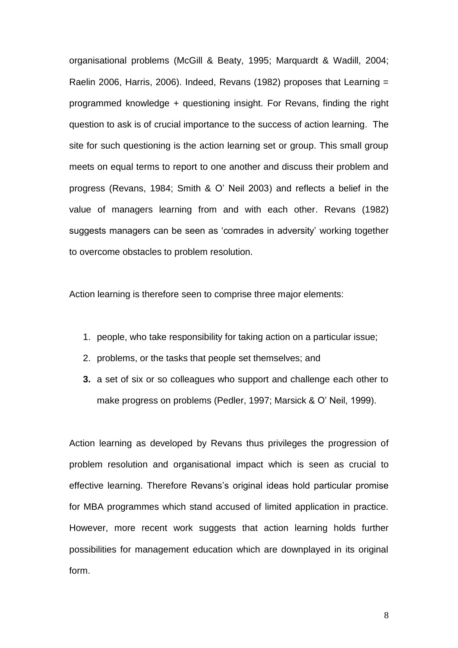organisational problems (McGill & Beaty, 1995; Marquardt & Wadill, 2004; Raelin 2006, Harris, 2006). Indeed, Revans (1982) proposes that Learning = programmed knowledge + questioning insight. For Revans, finding the right question to ask is of crucial importance to the success of action learning. The site for such questioning is the action learning set or group. This small group meets on equal terms to report to one another and discuss their problem and progress (Revans, 1984; Smith & O' Neil 2003) and reflects a belief in the value of managers learning from and with each other. Revans (1982) suggests managers can be seen as 'comrades in adversity' working together to overcome obstacles to problem resolution.

Action learning is therefore seen to comprise three major elements:

- 1. people, who take responsibility for taking action on a particular issue;
- 2. problems, or the tasks that people set themselves; and
- **3.** a set of six or so colleagues who support and challenge each other to make progress on problems (Pedler, 1997; Marsick & O' Neil, 1999).

Action learning as developed by Revans thus privileges the progression of problem resolution and organisational impact which is seen as crucial to effective learning. Therefore Revans's original ideas hold particular promise for MBA programmes which stand accused of limited application in practice. However, more recent work suggests that action learning holds further possibilities for management education which are downplayed in its original form.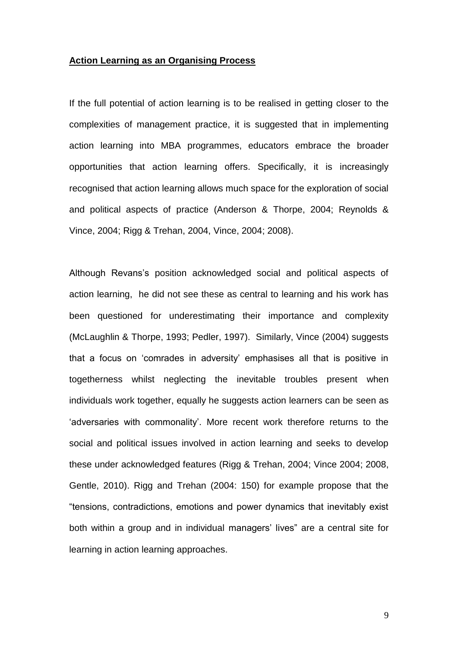#### **Action Learning as an Organising Process**

If the full potential of action learning is to be realised in getting closer to the complexities of management practice, it is suggested that in implementing action learning into MBA programmes, educators embrace the broader opportunities that action learning offers. Specifically, it is increasingly recognised that action learning allows much space for the exploration of social and political aspects of practice (Anderson & Thorpe, 2004; Reynolds & Vince, 2004; Rigg & Trehan, 2004, Vince, 2004; 2008).

Although Revans's position acknowledged social and political aspects of action learning, he did not see these as central to learning and his work has been questioned for underestimating their importance and complexity (McLaughlin & Thorpe, 1993; Pedler, 1997). Similarly, Vince (2004) suggests that a focus on 'comrades in adversity' emphasises all that is positive in togetherness whilst neglecting the inevitable troubles present when individuals work together, equally he suggests action learners can be seen as 'adversaries with commonality'. More recent work therefore returns to the social and political issues involved in action learning and seeks to develop these under acknowledged features (Rigg & Trehan, 2004; Vince 2004; 2008, Gentle, 2010). Rigg and Trehan (2004: 150) for example propose that the "tensions, contradictions, emotions and power dynamics that inevitably exist both within a group and in individual managers' lives" are a central site for learning in action learning approaches.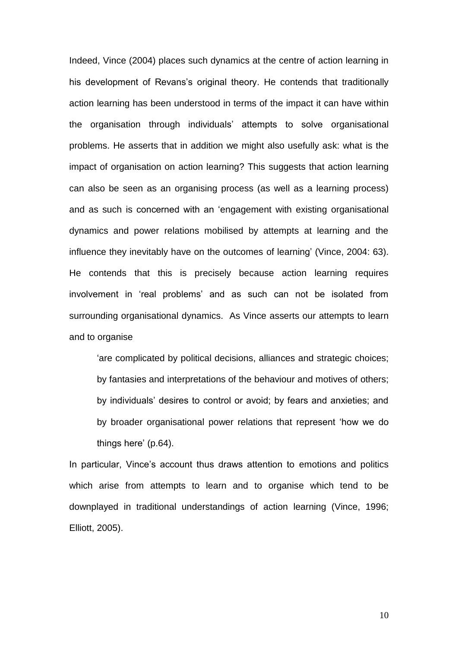Indeed, Vince (2004) places such dynamics at the centre of action learning in his development of Revans's original theory. He contends that traditionally action learning has been understood in terms of the impact it can have within the organisation through individuals' attempts to solve organisational problems. He asserts that in addition we might also usefully ask: what is the impact of organisation on action learning? This suggests that action learning can also be seen as an organising process (as well as a learning process) and as such is concerned with an 'engagement with existing organisational dynamics and power relations mobilised by attempts at learning and the influence they inevitably have on the outcomes of learning' (Vince, 2004: 63). He contends that this is precisely because action learning requires involvement in 'real problems' and as such can not be isolated from surrounding organisational dynamics. As Vince asserts our attempts to learn and to organise

'are complicated by political decisions, alliances and strategic choices; by fantasies and interpretations of the behaviour and motives of others; by individuals' desires to control or avoid; by fears and anxieties; and by broader organisational power relations that represent 'how we do things here' (p.64).

In particular, Vince's account thus draws attention to emotions and politics which arise from attempts to learn and to organise which tend to be downplayed in traditional understandings of action learning (Vince, 1996; Elliott, 2005).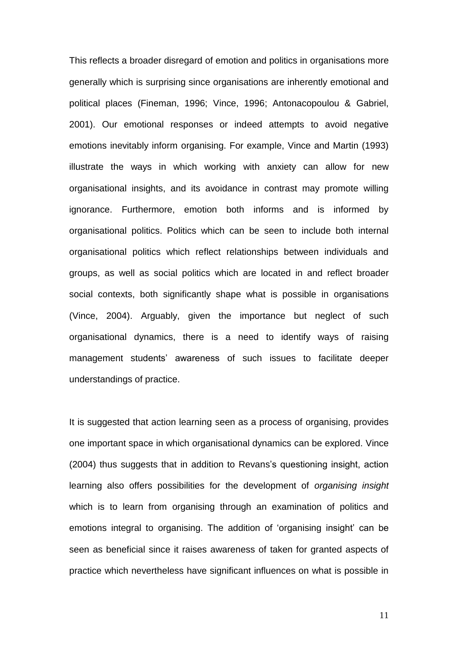This reflects a broader disregard of emotion and politics in organisations more generally which is surprising since organisations are inherently emotional and political places (Fineman, 1996; Vince, 1996; Antonacopoulou & Gabriel, 2001). Our emotional responses or indeed attempts to avoid negative emotions inevitably inform organising. For example, Vince and Martin (1993) illustrate the ways in which working with anxiety can allow for new organisational insights, and its avoidance in contrast may promote willing ignorance. Furthermore, emotion both informs and is informed by organisational politics. Politics which can be seen to include both internal organisational politics which reflect relationships between individuals and groups, as well as social politics which are located in and reflect broader social contexts, both significantly shape what is possible in organisations (Vince, 2004). Arguably, given the importance but neglect of such organisational dynamics, there is a need to identify ways of raising management students' awareness of such issues to facilitate deeper understandings of practice.

It is suggested that action learning seen as a process of organising, provides one important space in which organisational dynamics can be explored. Vince (2004) thus suggests that in addition to Revans's questioning insight, action learning also offers possibilities for the development of *organising insight* which is to learn from organising through an examination of politics and emotions integral to organising. The addition of 'organising insight' can be seen as beneficial since it raises awareness of taken for granted aspects of practice which nevertheless have significant influences on what is possible in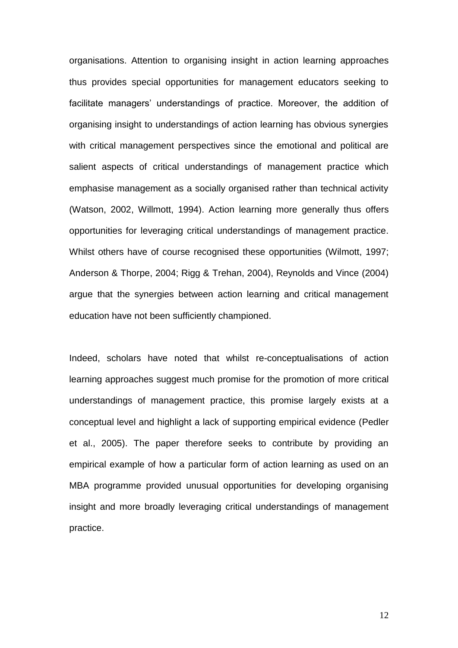organisations. Attention to organising insight in action learning approaches thus provides special opportunities for management educators seeking to facilitate managers' understandings of practice. Moreover, the addition of organising insight to understandings of action learning has obvious synergies with critical management perspectives since the emotional and political are salient aspects of critical understandings of management practice which emphasise management as a socially organised rather than technical activity (Watson, 2002, Willmott, 1994). Action learning more generally thus offers opportunities for leveraging critical understandings of management practice. Whilst others have of course recognised these opportunities (Wilmott, 1997; Anderson & Thorpe, 2004; Rigg & Trehan, 2004), Reynolds and Vince (2004) argue that the synergies between action learning and critical management education have not been sufficiently championed.

Indeed, scholars have noted that whilst re-conceptualisations of action learning approaches suggest much promise for the promotion of more critical understandings of management practice, this promise largely exists at a conceptual level and highlight a lack of supporting empirical evidence (Pedler et al., 2005). The paper therefore seeks to contribute by providing an empirical example of how a particular form of action learning as used on an MBA programme provided unusual opportunities for developing organising insight and more broadly leveraging critical understandings of management practice.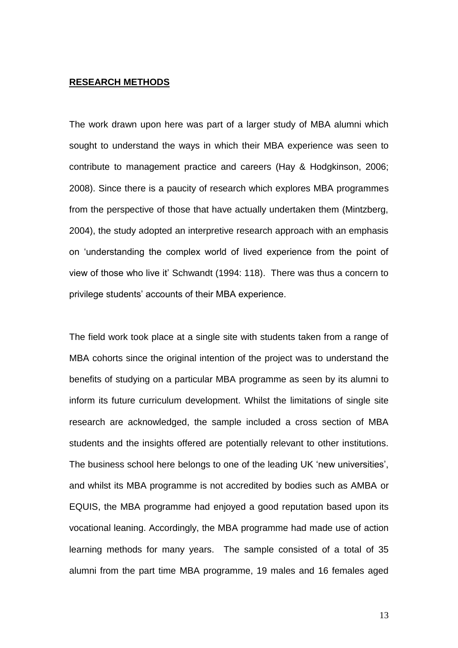### **RESEARCH METHODS**

The work drawn upon here was part of a larger study of MBA alumni which sought to understand the ways in which their MBA experience was seen to contribute to management practice and careers (Hay & Hodgkinson, 2006; 2008). Since there is a paucity of research which explores MBA programmes from the perspective of those that have actually undertaken them (Mintzberg, 2004), the study adopted an interpretive research approach with an emphasis on 'understanding the complex world of lived experience from the point of view of those who live it' Schwandt (1994: 118). There was thus a concern to privilege students' accounts of their MBA experience.

The field work took place at a single site with students taken from a range of MBA cohorts since the original intention of the project was to understand the benefits of studying on a particular MBA programme as seen by its alumni to inform its future curriculum development. Whilst the limitations of single site research are acknowledged, the sample included a cross section of MBA students and the insights offered are potentially relevant to other institutions. The business school here belongs to one of the leading UK 'new universities', and whilst its MBA programme is not accredited by bodies such as AMBA or EQUIS, the MBA programme had enjoyed a good reputation based upon its vocational leaning. Accordingly, the MBA programme had made use of action learning methods for many years. The sample consisted of a total of 35 alumni from the part time MBA programme, 19 males and 16 females aged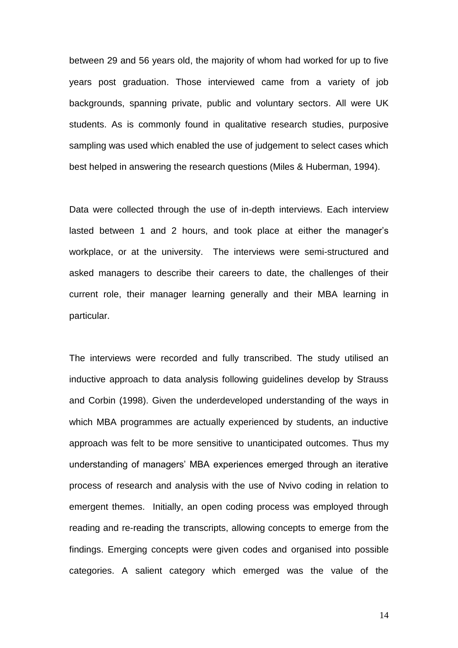between 29 and 56 years old, the majority of whom had worked for up to five years post graduation. Those interviewed came from a variety of job backgrounds, spanning private, public and voluntary sectors. All were UK students. As is commonly found in qualitative research studies, purposive sampling was used which enabled the use of judgement to select cases which best helped in answering the research questions (Miles & Huberman, 1994).

Data were collected through the use of in-depth interviews. Each interview lasted between 1 and 2 hours, and took place at either the manager's workplace, or at the university. The interviews were semi-structured and asked managers to describe their careers to date, the challenges of their current role, their manager learning generally and their MBA learning in particular.

The interviews were recorded and fully transcribed. The study utilised an inductive approach to data analysis following guidelines develop by Strauss and Corbin (1998). Given the underdeveloped understanding of the ways in which MBA programmes are actually experienced by students, an inductive approach was felt to be more sensitive to unanticipated outcomes. Thus my understanding of managers' MBA experiences emerged through an iterative process of research and analysis with the use of Nvivo coding in relation to emergent themes. Initially, an open coding process was employed through reading and re-reading the transcripts, allowing concepts to emerge from the findings. Emerging concepts were given codes and organised into possible categories. A salient category which emerged was the value of the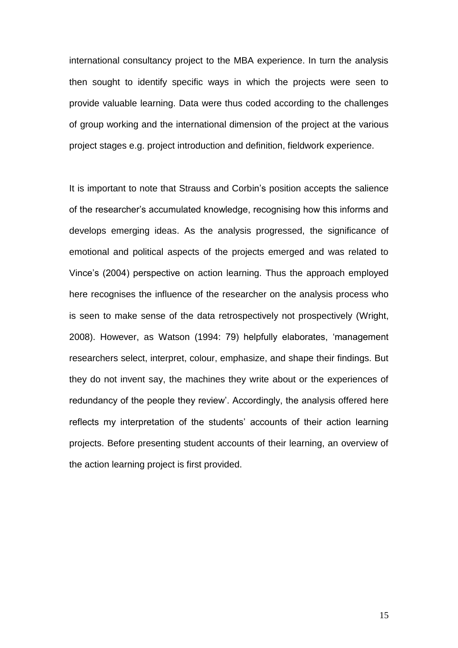international consultancy project to the MBA experience. In turn the analysis then sought to identify specific ways in which the projects were seen to provide valuable learning. Data were thus coded according to the challenges of group working and the international dimension of the project at the various project stages e.g. project introduction and definition, fieldwork experience.

It is important to note that Strauss and Corbin's position accepts the salience of the researcher's accumulated knowledge, recognising how this informs and develops emerging ideas. As the analysis progressed, the significance of emotional and political aspects of the projects emerged and was related to Vince's (2004) perspective on action learning. Thus the approach employed here recognises the influence of the researcher on the analysis process who is seen to make sense of the data retrospectively not prospectively (Wright, 2008). However, as Watson (1994: 79) helpfully elaborates, 'management researchers select, interpret, colour, emphasize, and shape their findings. But they do not invent say, the machines they write about or the experiences of redundancy of the people they review'. Accordingly, the analysis offered here reflects my interpretation of the students' accounts of their action learning projects. Before presenting student accounts of their learning, an overview of the action learning project is first provided.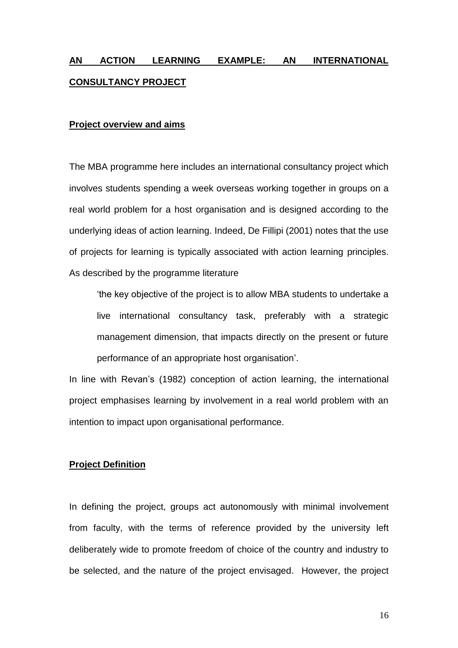# **AN ACTION LEARNING EXAMPLE: AN INTERNATIONAL CONSULTANCY PROJECT**

# **Project overview and aims**

The MBA programme here includes an international consultancy project which involves students spending a week overseas working together in groups on a real world problem for a host organisation and is designed according to the underlying ideas of action learning. Indeed, De Fillipi (2001) notes that the use of projects for learning is typically associated with action learning principles. As described by the programme literature

'the key objective of the project is to allow MBA students to undertake a live international consultancy task, preferably with a strategic management dimension, that impacts directly on the present or future performance of an appropriate host organisation'.

In line with Revan's (1982) conception of action learning, the international project emphasises learning by involvement in a real world problem with an intention to impact upon organisational performance.

#### **Project Definition**

In defining the project, groups act autonomously with minimal involvement from faculty, with the terms of reference provided by the university left deliberately wide to promote freedom of choice of the country and industry to be selected, and the nature of the project envisaged. However, the project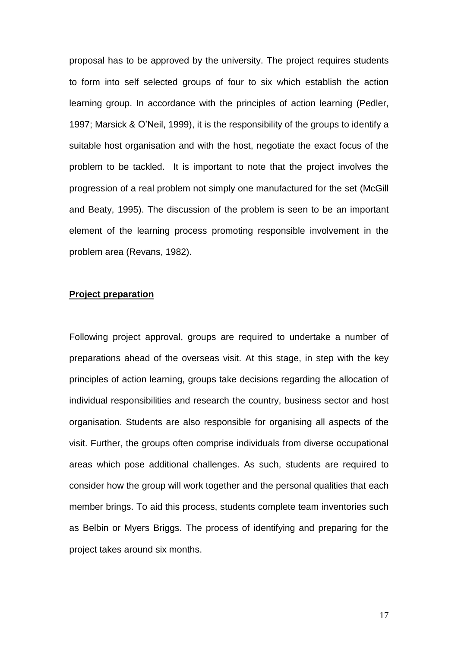proposal has to be approved by the university. The project requires students to form into self selected groups of four to six which establish the action learning group. In accordance with the principles of action learning (Pedler, 1997; Marsick & O'Neil, 1999), it is the responsibility of the groups to identify a suitable host organisation and with the host, negotiate the exact focus of the problem to be tackled. It is important to note that the project involves the progression of a real problem not simply one manufactured for the set (McGill and Beaty, 1995). The discussion of the problem is seen to be an important element of the learning process promoting responsible involvement in the problem area (Revans, 1982).

## **Project preparation**

Following project approval, groups are required to undertake a number of preparations ahead of the overseas visit. At this stage, in step with the key principles of action learning, groups take decisions regarding the allocation of individual responsibilities and research the country, business sector and host organisation. Students are also responsible for organising all aspects of the visit. Further, the groups often comprise individuals from diverse occupational areas which pose additional challenges. As such, students are required to consider how the group will work together and the personal qualities that each member brings. To aid this process, students complete team inventories such as Belbin or Myers Briggs. The process of identifying and preparing for the project takes around six months.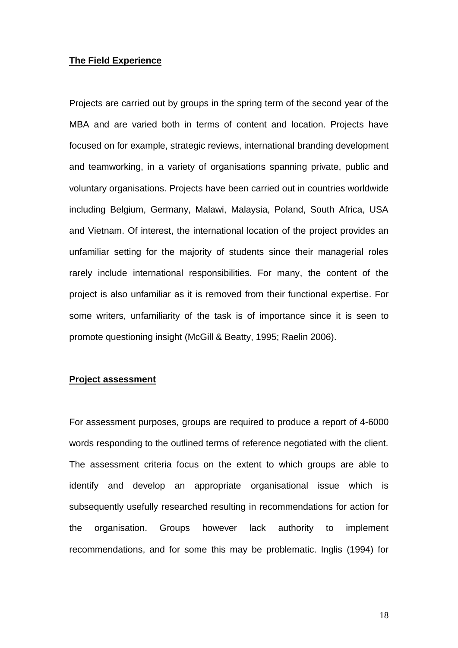#### **The Field Experience**

Projects are carried out by groups in the spring term of the second year of the MBA and are varied both in terms of content and location. Projects have focused on for example, strategic reviews, international branding development and teamworking, in a variety of organisations spanning private, public and voluntary organisations. Projects have been carried out in countries worldwide including Belgium, Germany, Malawi, Malaysia, Poland, South Africa, USA and Vietnam. Of interest, the international location of the project provides an unfamiliar setting for the majority of students since their managerial roles rarely include international responsibilities. For many, the content of the project is also unfamiliar as it is removed from their functional expertise. For some writers, unfamiliarity of the task is of importance since it is seen to promote questioning insight (McGill & Beatty, 1995; Raelin 2006).

#### **Project assessment**

For assessment purposes, groups are required to produce a report of 4-6000 words responding to the outlined terms of reference negotiated with the client. The assessment criteria focus on the extent to which groups are able to identify and develop an appropriate organisational issue which is subsequently usefully researched resulting in recommendations for action for the organisation. Groups however lack authority to implement recommendations, and for some this may be problematic. Inglis (1994) for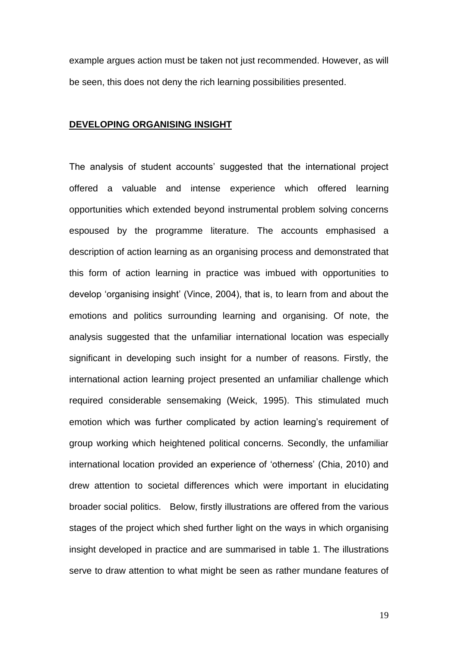example argues action must be taken not just recommended. However, as will be seen, this does not deny the rich learning possibilities presented.

# **DEVELOPING ORGANISING INSIGHT**

The analysis of student accounts' suggested that the international project offered a valuable and intense experience which offered learning opportunities which extended beyond instrumental problem solving concerns espoused by the programme literature. The accounts emphasised a description of action learning as an organising process and demonstrated that this form of action learning in practice was imbued with opportunities to develop 'organising insight' (Vince, 2004), that is, to learn from and about the emotions and politics surrounding learning and organising. Of note, the analysis suggested that the unfamiliar international location was especially significant in developing such insight for a number of reasons. Firstly, the international action learning project presented an unfamiliar challenge which required considerable sensemaking (Weick, 1995). This stimulated much emotion which was further complicated by action learning's requirement of group working which heightened political concerns. Secondly, the unfamiliar international location provided an experience of 'otherness' (Chia, 2010) and drew attention to societal differences which were important in elucidating broader social politics. Below, firstly illustrations are offered from the various stages of the project which shed further light on the ways in which organising insight developed in practice and are summarised in table 1. The illustrations serve to draw attention to what might be seen as rather mundane features of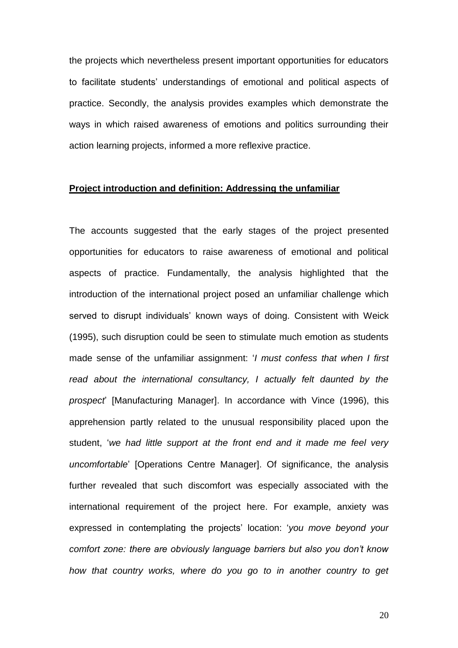the projects which nevertheless present important opportunities for educators to facilitate students' understandings of emotional and political aspects of practice. Secondly, the analysis provides examples which demonstrate the ways in which raised awareness of emotions and politics surrounding their action learning projects, informed a more reflexive practice.

# **Project introduction and definition: Addressing the unfamiliar**

The accounts suggested that the early stages of the project presented opportunities for educators to raise awareness of emotional and political aspects of practice. Fundamentally, the analysis highlighted that the introduction of the international project posed an unfamiliar challenge which served to disrupt individuals' known ways of doing. Consistent with Weick (1995), such disruption could be seen to stimulate much emotion as students made sense of the unfamiliar assignment: '*I must confess that when I first read about the international consultancy, I actually felt daunted by the prospect*' [Manufacturing Manager]. In accordance with Vince (1996), this apprehension partly related to the unusual responsibility placed upon the student, '*we had little support at the front end and it made me feel very uncomfortable*' [Operations Centre Manager]. Of significance, the analysis further revealed that such discomfort was especially associated with the international requirement of the project here. For example, anxiety was expressed in contemplating the projects' location: '*you move beyond your comfort zone: there are obviously language barriers but also you don't know how that country works, where do you go to in another country to get*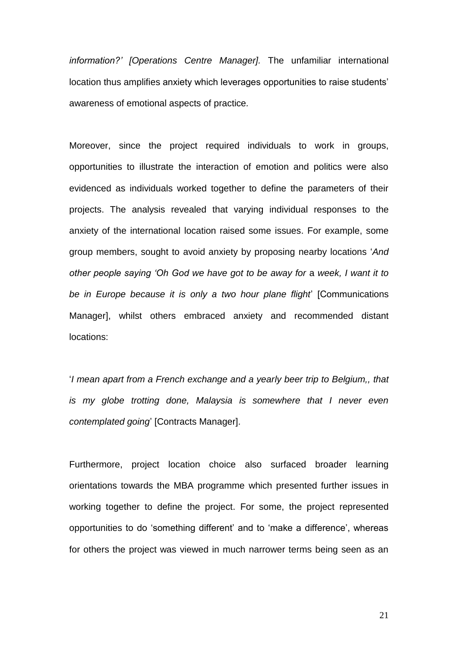*information?' [Operations Centre Manager].* The unfamiliar international location thus amplifies anxiety which leverages opportunities to raise students' awareness of emotional aspects of practice*.* 

Moreover, since the project required individuals to work in groups, opportunities to illustrate the interaction of emotion and politics were also evidenced as individuals worked together to define the parameters of their projects. The analysis revealed that varying individual responses to the anxiety of the international location raised some issues. For example, some group members, sought to avoid anxiety by proposing nearby locations '*And other people saying 'Oh God we have got to be away for* a *week, I want it to be in Europe because it is only a two hour plane flight*' [Communications Manager], whilst others embraced anxiety and recommended distant locations:

'*I mean apart from a French exchange and a yearly beer trip to Belgium,, that is my globe trotting done, Malaysia is somewhere that I never even contemplated going*' [Contracts Manager].

Furthermore, project location choice also surfaced broader learning orientations towards the MBA programme which presented further issues in working together to define the project. For some, the project represented opportunities to do 'something different' and to 'make a difference', whereas for others the project was viewed in much narrower terms being seen as an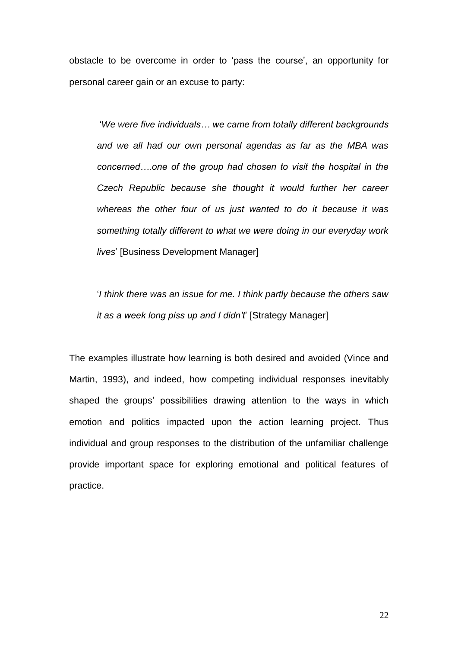obstacle to be overcome in order to 'pass the course', an opportunity for personal career gain or an excuse to party:

'*We were five individuals… we came from totally different backgrounds and we all had our own personal agendas as far as the MBA was concerned….one of the group had chosen to visit the hospital in the Czech Republic because she thought it would further her career whereas the other four of us just wanted to do it because it was something totally different to what we were doing in our everyday work lives*' [Business Development Manager]

'*I think there was an issue for me. I think partly because the others saw it as a week long piss up and I didn't*' [Strategy Manager]

The examples illustrate how learning is both desired and avoided (Vince and Martin, 1993), and indeed, how competing individual responses inevitably shaped the groups' possibilities drawing attention to the ways in which emotion and politics impacted upon the action learning project. Thus individual and group responses to the distribution of the unfamiliar challenge provide important space for exploring emotional and political features of practice.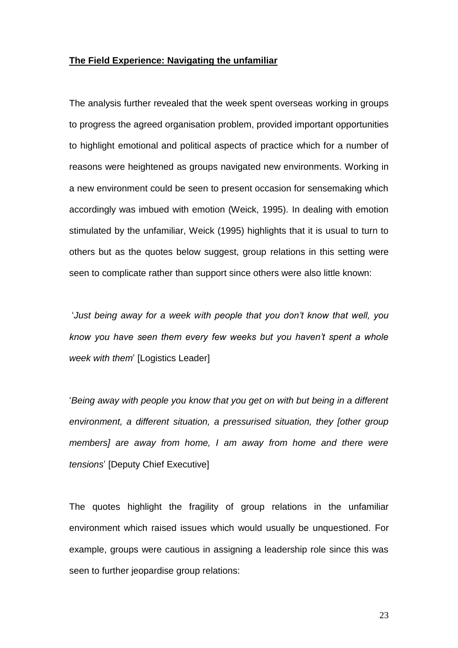# **The Field Experience: Navigating the unfamiliar**

The analysis further revealed that the week spent overseas working in groups to progress the agreed organisation problem, provided important opportunities to highlight emotional and political aspects of practice which for a number of reasons were heightened as groups navigated new environments. Working in a new environment could be seen to present occasion for sensemaking which accordingly was imbued with emotion (Weick, 1995). In dealing with emotion stimulated by the unfamiliar, Weick (1995) highlights that it is usual to turn to others but as the quotes below suggest, group relations in this setting were seen to complicate rather than support since others were also little known:

'*Just being away for a week with people that you don't know that well, you know you have seen them every few weeks but you haven't spent a whole week with them*' [Logistics Leader]

'*Being away with people you know that you get on with but being in a different environment, a different situation, a pressurised situation, they [other group members] are away from home, I am away from home and there were tensions*' [Deputy Chief Executive]

The quotes highlight the fragility of group relations in the unfamiliar environment which raised issues which would usually be unquestioned. For example, groups were cautious in assigning a leadership role since this was seen to further jeopardise group relations: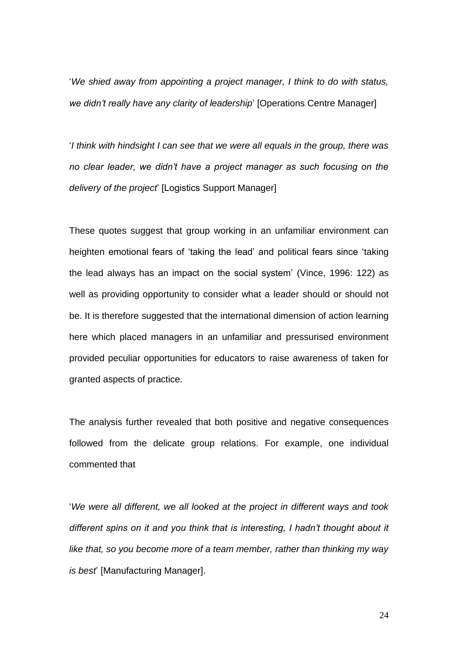'*We shied away from appointing a project manager, I think to do with status, we didn't really have any clarity of leadership*' [Operations Centre Manager]

'*I think with hindsight I can see that we were all equals in the group, there was no clear leader, we didn't have a project manager as such focusing on the delivery of the project*' [Logistics Support Manager]

These quotes suggest that group working in an unfamiliar environment can heighten emotional fears of 'taking the lead' and political fears since 'taking the lead always has an impact on the social system' (Vince, 1996: 122) as well as providing opportunity to consider what a leader should or should not be. It is therefore suggested that the international dimension of action learning here which placed managers in an unfamiliar and pressurised environment provided peculiar opportunities for educators to raise awareness of taken for granted aspects of practice.

The analysis further revealed that both positive and negative consequences followed from the delicate group relations. For example, one individual commented that

'*We were all different, we all looked at the project in different ways and took different spins on it and you think that is interesting, I hadn't thought about it like that, so you become more of a team member, rather than thinking my way is best*' [Manufacturing Manager].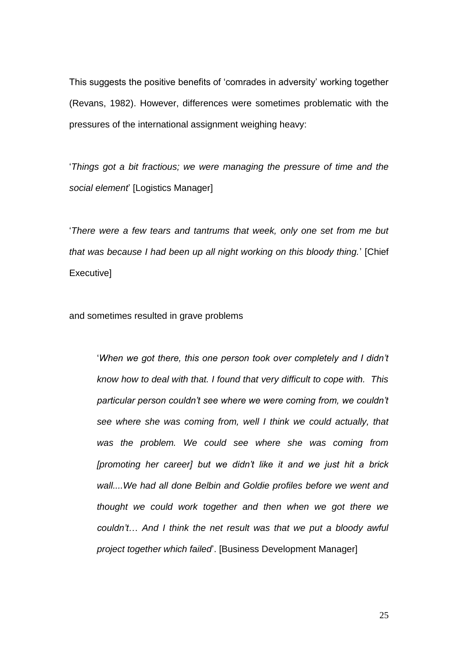This suggests the positive benefits of 'comrades in adversity' working together (Revans, 1982). However, differences were sometimes problematic with the pressures of the international assignment weighing heavy:

'*Things got a bit fractious; we were managing the pressure of time and the social element*' [Logistics Manager]

'*There were a few tears and tantrums that week, only one set from me but that was because I had been up all night working on this bloody thing.*' [Chief Executive]

and sometimes resulted in grave problems

'*When we got there, this one person took over completely and I didn't know how to deal with that. I found that very difficult to cope with. This particular person couldn't see where we were coming from, we couldn't see where she was coming from, well I think we could actually, that was the problem. We could see where she was coming from [promoting her career] but we didn't like it and we just hit a brick wall....We had all done Belbin and Goldie profiles before we went and thought we could work together and then when we got there we couldn't*… *And I think the net result was that we put a bloody awful project together which failed*'. [Business Development Manager]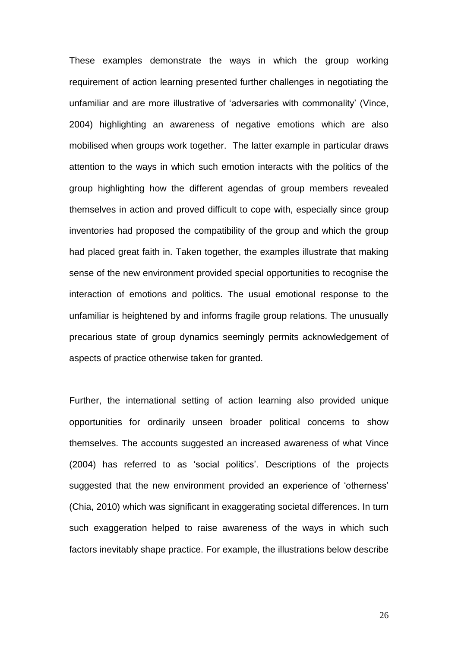These examples demonstrate the ways in which the group working requirement of action learning presented further challenges in negotiating the unfamiliar and are more illustrative of 'adversaries with commonality' (Vince, 2004) highlighting an awareness of negative emotions which are also mobilised when groups work together. The latter example in particular draws attention to the ways in which such emotion interacts with the politics of the group highlighting how the different agendas of group members revealed themselves in action and proved difficult to cope with, especially since group inventories had proposed the compatibility of the group and which the group had placed great faith in. Taken together, the examples illustrate that making sense of the new environment provided special opportunities to recognise the interaction of emotions and politics. The usual emotional response to the unfamiliar is heightened by and informs fragile group relations. The unusually precarious state of group dynamics seemingly permits acknowledgement of aspects of practice otherwise taken for granted.

Further, the international setting of action learning also provided unique opportunities for ordinarily unseen broader political concerns to show themselves. The accounts suggested an increased awareness of what Vince (2004) has referred to as 'social politics'. Descriptions of the projects suggested that the new environment provided an experience of 'otherness' (Chia, 2010) which was significant in exaggerating societal differences. In turn such exaggeration helped to raise awareness of the ways in which such factors inevitably shape practice. For example, the illustrations below describe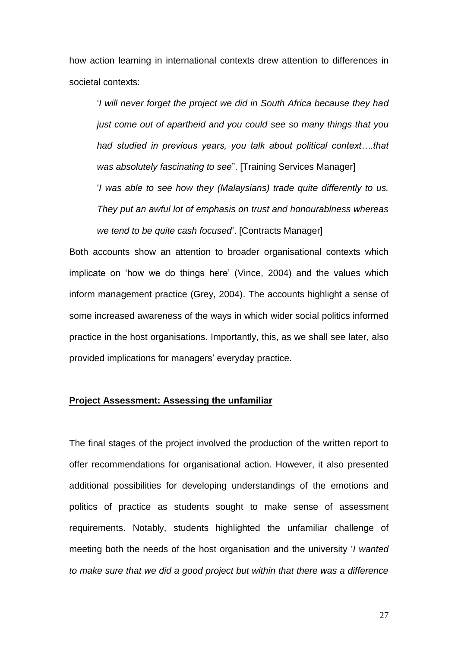how action learning in international contexts drew attention to differences in societal contexts:

'*I will never forget the project we did in South Africa because they had just come out of apartheid and you could see so many things that you had studied in previous years, you talk about political context….that was absolutely fascinating to see*". [Training Services Manager] '*I was able to see how they (Malaysians) trade quite differently to us. They put an awful lot of emphasis on trust and honourablness whereas we tend to be quite cash focused*'. [Contracts Manager]

Both accounts show an attention to broader organisational contexts which implicate on 'how we do things here' (Vince, 2004) and the values which inform management practice (Grey, 2004). The accounts highlight a sense of some increased awareness of the ways in which wider social politics informed practice in the host organisations. Importantly, this, as we shall see later, also provided implications for managers' everyday practice.

# **Project Assessment: Assessing the unfamiliar**

The final stages of the project involved the production of the written report to offer recommendations for organisational action. However, it also presented additional possibilities for developing understandings of the emotions and politics of practice as students sought to make sense of assessment requirements. Notably, students highlighted the unfamiliar challenge of meeting both the needs of the host organisation and the university '*I wanted to make sure that we did a good project but within that there was a difference*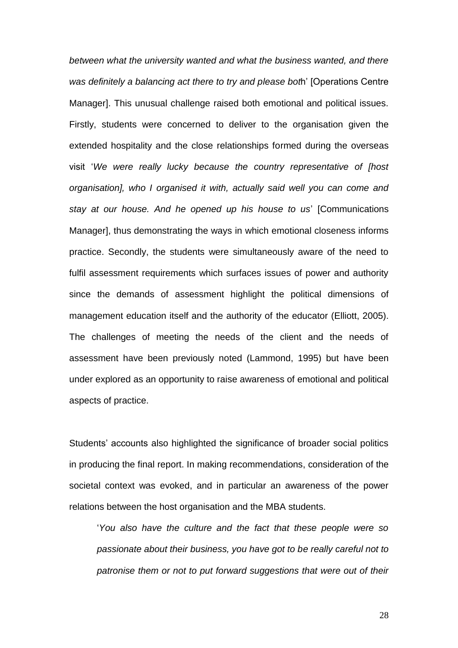*between what the university wanted and what the business wanted, and there was definitely a balancing act there to try and please bot*h' [Operations Centre Manager]. This unusual challenge raised both emotional and political issues. Firstly, students were concerned to deliver to the organisation given the extended hospitality and the close relationships formed during the overseas visit '*We were really lucky because the country representative of [host organisation], who I organised it with, actually said well you can come and stay at our house. And he opened up his house to us*' [Communications Manager], thus demonstrating the ways in which emotional closeness informs practice. Secondly, the students were simultaneously aware of the need to fulfil assessment requirements which surfaces issues of power and authority since the demands of assessment highlight the political dimensions of management education itself and the authority of the educator (Elliott, 2005). The challenges of meeting the needs of the client and the needs of assessment have been previously noted (Lammond, 1995) but have been under explored as an opportunity to raise awareness of emotional and political aspects of practice.

Students' accounts also highlighted the significance of broader social politics in producing the final report. In making recommendations, consideration of the societal context was evoked, and in particular an awareness of the power relations between the host organisation and the MBA students.

'*You also have the culture and the fact that these people were so passionate about their business, you have got to be really careful not to patronise them or not to put forward suggestions that were out of their*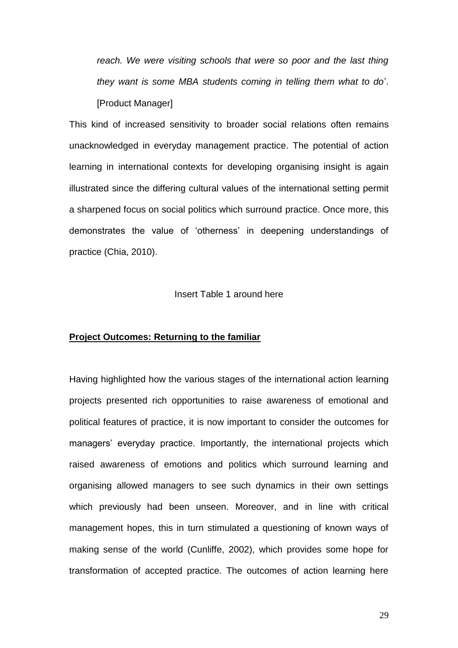*reach. We were visiting schools that were so poor and the last thing they want is some MBA students coming in telling them what to do*'. [Product Manager]

This kind of increased sensitivity to broader social relations often remains unacknowledged in everyday management practice. The potential of action learning in international contexts for developing organising insight is again illustrated since the differing cultural values of the international setting permit a sharpened focus on social politics which surround practice. Once more, this demonstrates the value of 'otherness' in deepening understandings of practice (Chia, 2010).

#### Insert Table 1 around here

# **Project Outcomes: Returning to the familiar**

Having highlighted how the various stages of the international action learning projects presented rich opportunities to raise awareness of emotional and political features of practice, it is now important to consider the outcomes for managers' everyday practice. Importantly, the international projects which raised awareness of emotions and politics which surround learning and organising allowed managers to see such dynamics in their own settings which previously had been unseen. Moreover, and in line with critical management hopes, this in turn stimulated a questioning of known ways of making sense of the world (Cunliffe, 2002), which provides some hope for transformation of accepted practice. The outcomes of action learning here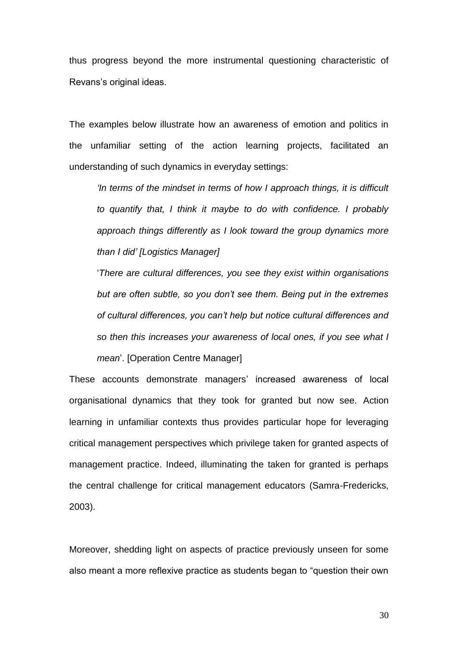thus progress beyond the more instrumental questioning characteristic of Revans's original ideas.

The examples below illustrate how an awareness of emotion and politics in the unfamiliar setting of the action learning projects, facilitated an understanding of such dynamics in everyday settings:

*'In terms of the mindset in terms of how I approach things, it is difficult to quantify that, I think it maybe to do with confidence. I probably approach things differently as I look toward the group dynamics more than I did' [Logistics Manager]*

'*There are cultural differences, you see they exist within organisations but are often subtle, so you don't see them. Being put in the extremes of cultural differences, you can't help but notice cultural differences and so then this increases your awareness of local ones, if you see what I mean*'. [Operation Centre Manager]

These accounts demonstrate managers' increased awareness of local organisational dynamics that they took for granted but now see. Action learning in unfamiliar contexts thus provides particular hope for leveraging critical management perspectives which privilege taken for granted aspects of management practice. Indeed, illuminating the taken for granted is perhaps the central challenge for critical management educators (Samra-Fredericks, 2003).

Moreover, shedding light on aspects of practice previously unseen for some also meant a more reflexive practice as students began to "question their own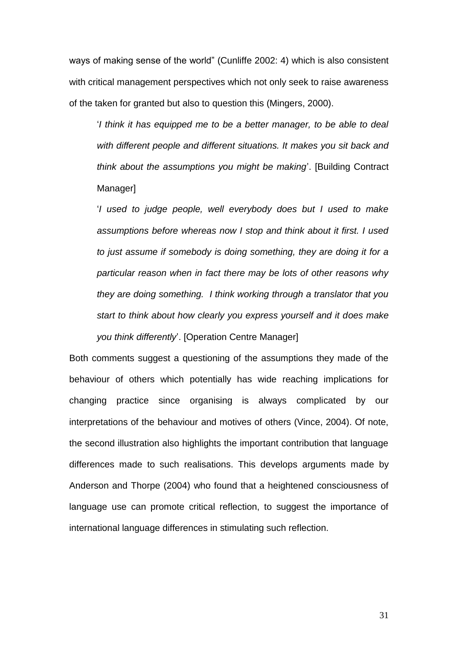ways of making sense of the world" (Cunliffe 2002: 4) which is also consistent with critical management perspectives which not only seek to raise awareness of the taken for granted but also to question this (Mingers, 2000).

'*I think it has equipped me to be a better manager, to be able to deal with different people and different situations. It makes you sit back and think about the assumptions you might be making*'. [Building Contract Manager]

'*I used to judge people, well everybody does but I used to make assumptions before whereas now I stop and think about it first. I used to just assume if somebody is doing something, they are doing it for a particular reason when in fact there may be lots of other reasons why they are doing something. I think working through a translator that you start to think about how clearly you express yourself and it does make you think differently*'. [Operation Centre Manager]

Both comments suggest a questioning of the assumptions they made of the behaviour of others which potentially has wide reaching implications for changing practice since organising is always complicated by our interpretations of the behaviour and motives of others (Vince, 2004). Of note, the second illustration also highlights the important contribution that language differences made to such realisations. This develops arguments made by Anderson and Thorpe (2004) who found that a heightened consciousness of language use can promote critical reflection, to suggest the importance of international language differences in stimulating such reflection.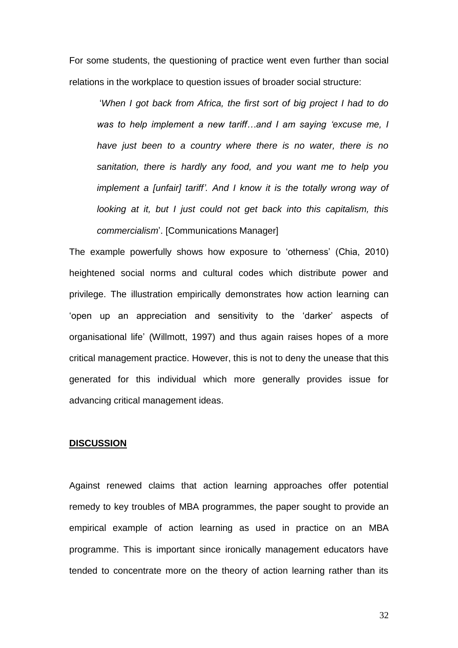For some students, the questioning of practice went even further than social relations in the workplace to question issues of broader social structure:

'*When I got back from Africa, the first sort of big project I had to do was to help implement a new tariff…and I am saying 'excuse me, I have just been to a country where there is no water, there is no sanitation, there is hardly any food, and you want me to help you implement a [unfair] tariff'. And I know it is the totally wrong way of looking at it, but I just could not get back into this capitalism, this commercialism*'. [Communications Manager]

The example powerfully shows how exposure to 'otherness' (Chia, 2010) heightened social norms and cultural codes which distribute power and privilege. The illustration empirically demonstrates how action learning can 'open up an appreciation and sensitivity to the 'darker' aspects of organisational life' (Willmott, 1997) and thus again raises hopes of a more critical management practice. However, this is not to deny the unease that this generated for this individual which more generally provides issue for advancing critical management ideas.

### **DISCUSSION**

Against renewed claims that action learning approaches offer potential remedy to key troubles of MBA programmes, the paper sought to provide an empirical example of action learning as used in practice on an MBA programme. This is important since ironically management educators have tended to concentrate more on the theory of action learning rather than its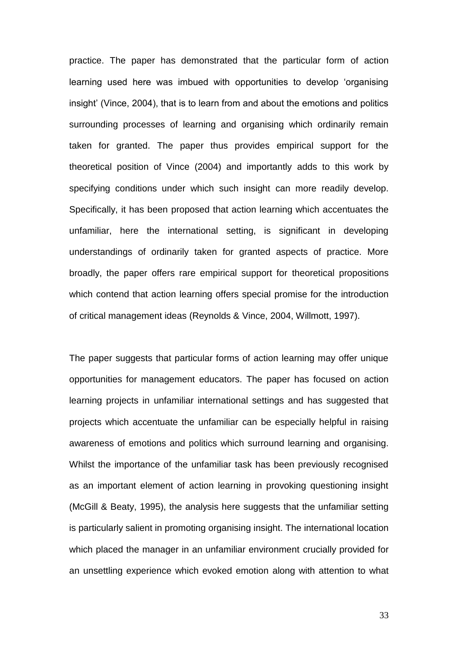practice. The paper has demonstrated that the particular form of action learning used here was imbued with opportunities to develop 'organising insight' (Vince, 2004), that is to learn from and about the emotions and politics surrounding processes of learning and organising which ordinarily remain taken for granted. The paper thus provides empirical support for the theoretical position of Vince (2004) and importantly adds to this work by specifying conditions under which such insight can more readily develop. Specifically, it has been proposed that action learning which accentuates the unfamiliar, here the international setting, is significant in developing understandings of ordinarily taken for granted aspects of practice. More broadly, the paper offers rare empirical support for theoretical propositions which contend that action learning offers special promise for the introduction of critical management ideas (Reynolds & Vince, 2004, Willmott, 1997).

The paper suggests that particular forms of action learning may offer unique opportunities for management educators. The paper has focused on action learning projects in unfamiliar international settings and has suggested that projects which accentuate the unfamiliar can be especially helpful in raising awareness of emotions and politics which surround learning and organising. Whilst the importance of the unfamiliar task has been previously recognised as an important element of action learning in provoking questioning insight (McGill & Beaty, 1995), the analysis here suggests that the unfamiliar setting is particularly salient in promoting organising insight. The international location which placed the manager in an unfamiliar environment crucially provided for an unsettling experience which evoked emotion along with attention to what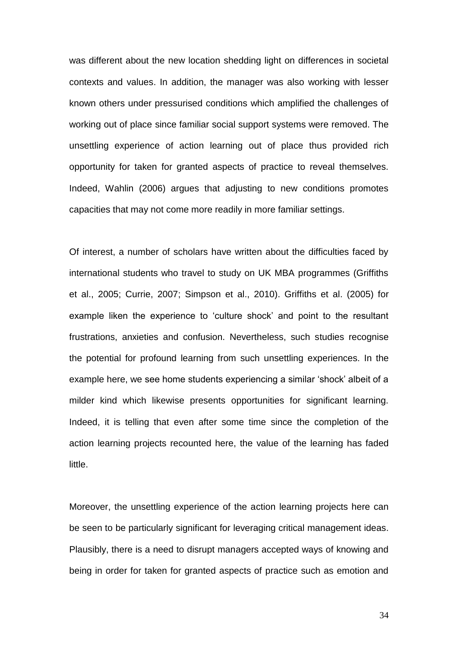was different about the new location shedding light on differences in societal contexts and values. In addition, the manager was also working with lesser known others under pressurised conditions which amplified the challenges of working out of place since familiar social support systems were removed. The unsettling experience of action learning out of place thus provided rich opportunity for taken for granted aspects of practice to reveal themselves. Indeed, Wahlin (2006) argues that adjusting to new conditions promotes capacities that may not come more readily in more familiar settings.

Of interest, a number of scholars have written about the difficulties faced by international students who travel to study on UK MBA programmes (Griffiths et al., 2005; Currie, 2007; Simpson et al., 2010). Griffiths et al. (2005) for example liken the experience to 'culture shock' and point to the resultant frustrations, anxieties and confusion. Nevertheless, such studies recognise the potential for profound learning from such unsettling experiences. In the example here, we see home students experiencing a similar 'shock' albeit of a milder kind which likewise presents opportunities for significant learning. Indeed, it is telling that even after some time since the completion of the action learning projects recounted here, the value of the learning has faded little.

Moreover, the unsettling experience of the action learning projects here can be seen to be particularly significant for leveraging critical management ideas. Plausibly, there is a need to disrupt managers accepted ways of knowing and being in order for taken for granted aspects of practice such as emotion and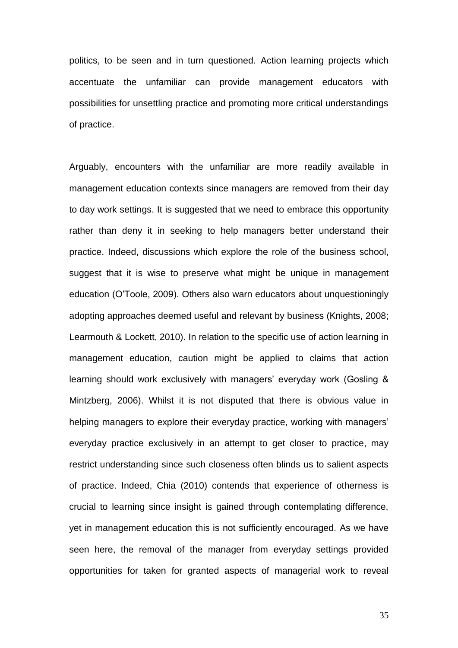politics, to be seen and in turn questioned. Action learning projects which accentuate the unfamiliar can provide management educators with possibilities for unsettling practice and promoting more critical understandings of practice.

Arguably, encounters with the unfamiliar are more readily available in management education contexts since managers are removed from their day to day work settings. It is suggested that we need to embrace this opportunity rather than deny it in seeking to help managers better understand their practice. Indeed, discussions which explore the role of the business school, suggest that it is wise to preserve what might be unique in management education (O'Toole, 2009). Others also warn educators about unquestioningly adopting approaches deemed useful and relevant by business (Knights, 2008; Learmouth & Lockett, 2010). In relation to the specific use of action learning in management education, caution might be applied to claims that action learning should work exclusively with managers' everyday work (Gosling & Mintzberg, 2006). Whilst it is not disputed that there is obvious value in helping managers to explore their everyday practice, working with managers' everyday practice exclusively in an attempt to get closer to practice, may restrict understanding since such closeness often blinds us to salient aspects of practice. Indeed, Chia (2010) contends that experience of otherness is crucial to learning since insight is gained through contemplating difference, yet in management education this is not sufficiently encouraged. As we have seen here, the removal of the manager from everyday settings provided opportunities for taken for granted aspects of managerial work to reveal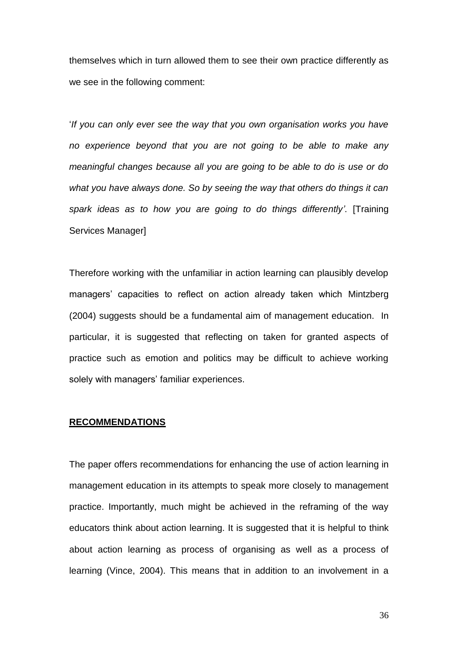themselves which in turn allowed them to see their own practice differently as we see in the following comment:

'*If you can only ever see the way that you own organisation works you have no experience beyond that you are not going to be able to make any meaningful changes because all you are going to be able to do is use or do what you have always done. So by seeing the way that others do things it can spark ideas as to how you are going to do things differently'*. [Training Services Manager]

Therefore working with the unfamiliar in action learning can plausibly develop managers' capacities to reflect on action already taken which Mintzberg (2004) suggests should be a fundamental aim of management education. In particular, it is suggested that reflecting on taken for granted aspects of practice such as emotion and politics may be difficult to achieve working solely with managers' familiar experiences.

#### **RECOMMENDATIONS**

The paper offers recommendations for enhancing the use of action learning in management education in its attempts to speak more closely to management practice. Importantly, much might be achieved in the reframing of the way educators think about action learning. It is suggested that it is helpful to think about action learning as process of organising as well as a process of learning (Vince, 2004). This means that in addition to an involvement in a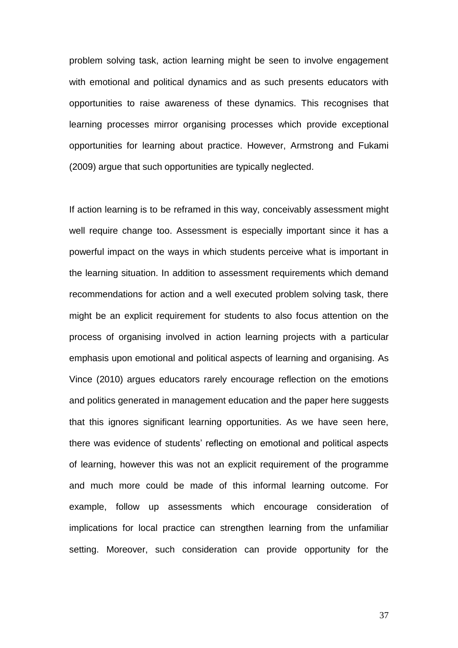problem solving task, action learning might be seen to involve engagement with emotional and political dynamics and as such presents educators with opportunities to raise awareness of these dynamics. This recognises that learning processes mirror organising processes which provide exceptional opportunities for learning about practice. However, Armstrong and Fukami (2009) argue that such opportunities are typically neglected.

If action learning is to be reframed in this way, conceivably assessment might well require change too. Assessment is especially important since it has a powerful impact on the ways in which students perceive what is important in the learning situation. In addition to assessment requirements which demand recommendations for action and a well executed problem solving task, there might be an explicit requirement for students to also focus attention on the process of organising involved in action learning projects with a particular emphasis upon emotional and political aspects of learning and organising. As Vince (2010) argues educators rarely encourage reflection on the emotions and politics generated in management education and the paper here suggests that this ignores significant learning opportunities. As we have seen here, there was evidence of students' reflecting on emotional and political aspects of learning, however this was not an explicit requirement of the programme and much more could be made of this informal learning outcome. For example, follow up assessments which encourage consideration of implications for local practice can strengthen learning from the unfamiliar setting. Moreover, such consideration can provide opportunity for the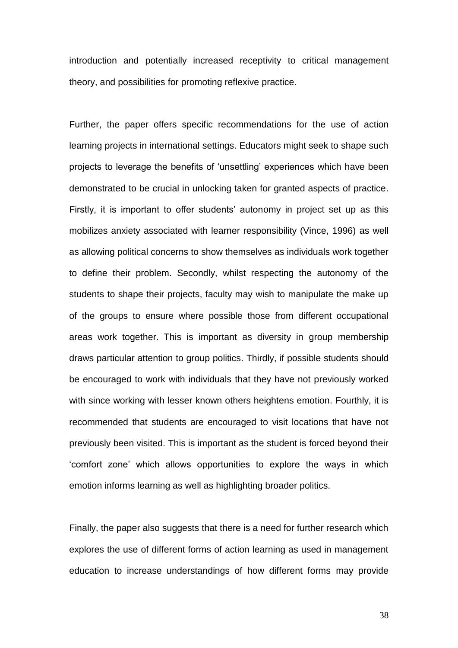introduction and potentially increased receptivity to critical management theory, and possibilities for promoting reflexive practice.

Further, the paper offers specific recommendations for the use of action learning projects in international settings. Educators might seek to shape such projects to leverage the benefits of 'unsettling' experiences which have been demonstrated to be crucial in unlocking taken for granted aspects of practice. Firstly, it is important to offer students' autonomy in project set up as this mobilizes anxiety associated with learner responsibility (Vince, 1996) as well as allowing political concerns to show themselves as individuals work together to define their problem. Secondly, whilst respecting the autonomy of the students to shape their projects, faculty may wish to manipulate the make up of the groups to ensure where possible those from different occupational areas work together. This is important as diversity in group membership draws particular attention to group politics. Thirdly, if possible students should be encouraged to work with individuals that they have not previously worked with since working with lesser known others heightens emotion. Fourthly, it is recommended that students are encouraged to visit locations that have not previously been visited. This is important as the student is forced beyond their 'comfort zone' which allows opportunities to explore the ways in which emotion informs learning as well as highlighting broader politics.

Finally, the paper also suggests that there is a need for further research which explores the use of different forms of action learning as used in management education to increase understandings of how different forms may provide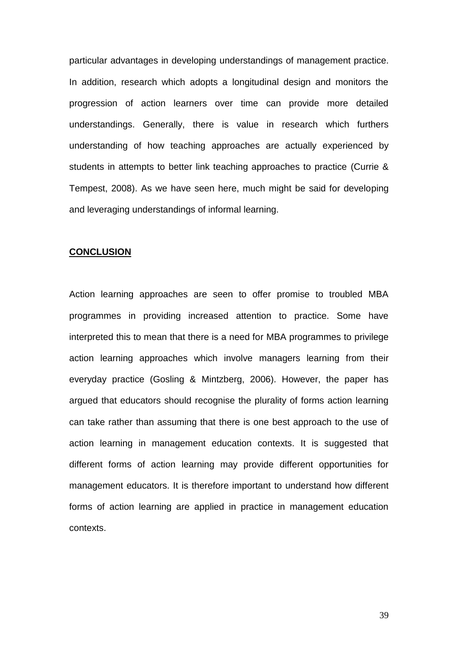particular advantages in developing understandings of management practice. In addition, research which adopts a longitudinal design and monitors the progression of action learners over time can provide more detailed understandings. Generally, there is value in research which furthers understanding of how teaching approaches are actually experienced by students in attempts to better link teaching approaches to practice (Currie & Tempest, 2008). As we have seen here, much might be said for developing and leveraging understandings of informal learning.

### **CONCLUSION**

Action learning approaches are seen to offer promise to troubled MBA programmes in providing increased attention to practice. Some have interpreted this to mean that there is a need for MBA programmes to privilege action learning approaches which involve managers learning from their everyday practice (Gosling & Mintzberg, 2006). However, the paper has argued that educators should recognise the plurality of forms action learning can take rather than assuming that there is one best approach to the use of action learning in management education contexts. It is suggested that different forms of action learning may provide different opportunities for management educators. It is therefore important to understand how different forms of action learning are applied in practice in management education contexts.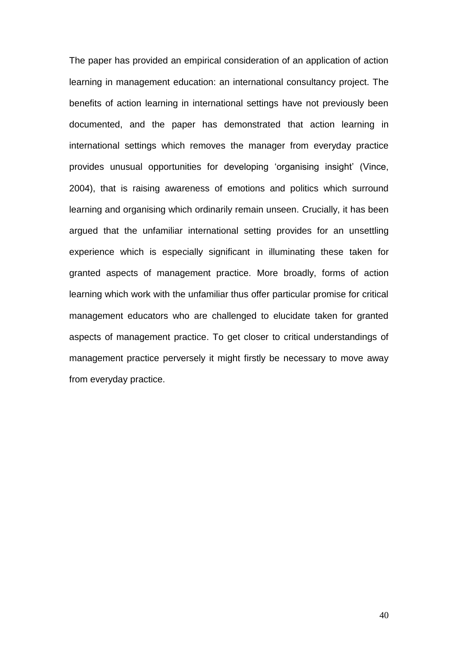The paper has provided an empirical consideration of an application of action learning in management education: an international consultancy project. The benefits of action learning in international settings have not previously been documented, and the paper has demonstrated that action learning in international settings which removes the manager from everyday practice provides unusual opportunities for developing 'organising insight' (Vince, 2004), that is raising awareness of emotions and politics which surround learning and organising which ordinarily remain unseen. Crucially, it has been argued that the unfamiliar international setting provides for an unsettling experience which is especially significant in illuminating these taken for granted aspects of management practice. More broadly, forms of action learning which work with the unfamiliar thus offer particular promise for critical management educators who are challenged to elucidate taken for granted aspects of management practice. To get closer to critical understandings of management practice perversely it might firstly be necessary to move away from everyday practice.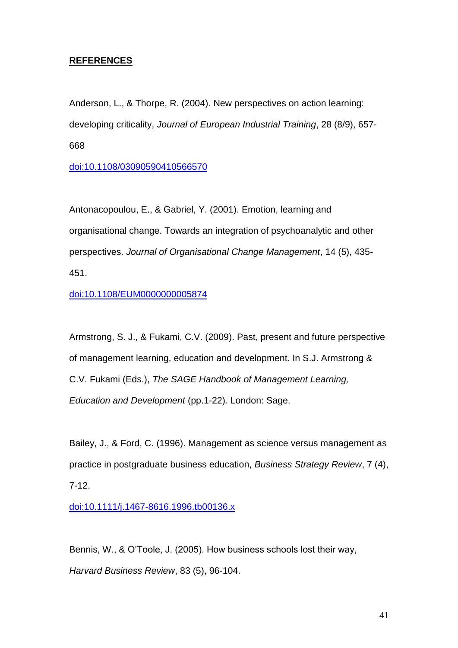# **REFERENCES**

Anderson, L., & Thorpe, R. (2004). New perspectives on action learning: developing criticality, *Journal of European Industrial Training*, 28 (8/9), 657- 668

[doi:10.1108/03090590410566570](http://dx.doi.org/10.1108/03090590410566570)

Antonacopoulou, E., & Gabriel, Y. (2001). Emotion, learning and organisational change. Towards an integration of psychoanalytic and other perspectives. *Journal of Organisational Change Management*, 14 (5), 435- 451.

[doi:10.1108/EUM0000000005874](http://dx.doi.org/10.1108/EUM0000000005874)

Armstrong, S. J., & Fukami, C.V. (2009). Past, present and future perspective of management learning, education and development. In S.J. Armstrong & C.V. Fukami (Eds.), *The SAGE Handbook of Management Learning, Education and Development* (pp.1-22)*.* London: Sage.

Bailey, J., & Ford, C. (1996). Management as science versus management as practice in postgraduate business education, *Business Strategy Review*, 7 (4), 7-12.

[doi:10.1111/j.1467-8616.1996.tb00136.x](http://dx.doi.org/10.1111/j.1467-8616.1996.tb00136.x)

Bennis, W., & O'Toole, J. (2005). How business schools lost their way, *Harvard Business Review*, 83 (5), 96-104.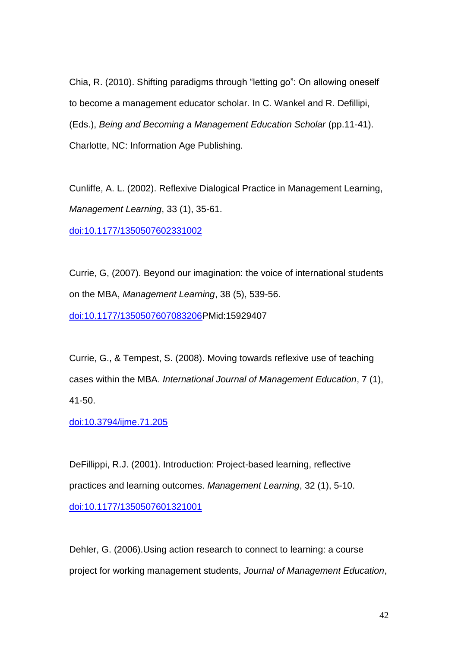Chia, R. (2010). Shifting paradigms through "letting go": On allowing oneself to become a management educator scholar. In C. Wankel and R. Defillipi, (Eds.), *Being and Becoming a Management Education Scholar* (pp.11-41). Charlotte, NC: Information Age Publishing.

Cunliffe, A. L. (2002). Reflexive Dialogical Practice in Management Learning, *Management Learning*, 33 (1), 35-61.

[doi:10.1177/1350507602331002](http://dx.doi.org/10.1177/1350507602331002)

Currie, G, (2007). Beyond our imagination: the voice of international students on the MBA, *Management Learning*, 38 (5), 539-56. [doi:10.1177/1350507607083206P](http://dx.doi.org/10.1177/1350507607083206)Mid:15929407

Currie, G., & Tempest, S. (2008). Moving towards reflexive use of teaching cases within the MBA. *International Journal of Management Education*, 7 (1), 41-50.

[doi:10.3794/ijme.71.205](http://dx.doi.org/10.3794/ijme.71.205)

DeFillippi, R.J. (2001). Introduction: Project-based learning, reflective practices and learning outcomes. *Management Learning*, 32 (1), 5-10. [doi:10.1177/1350507601321001](http://dx.doi.org/10.1177/1350507601321001)

Dehler, G. (2006).Using action research to connect to learning: a course project for working management students, *Journal of Management Education*,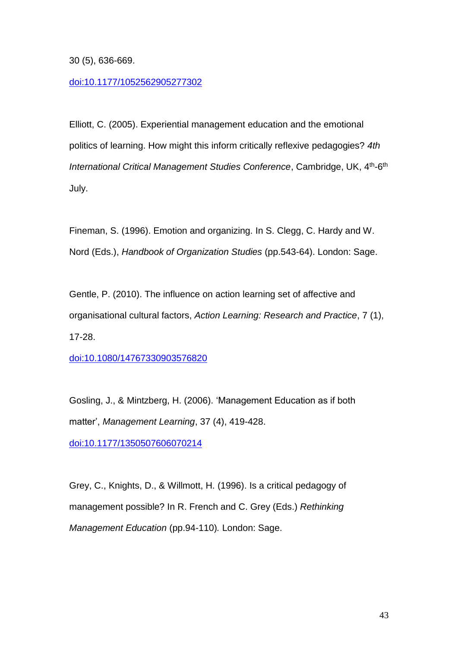30 (5), 636-669.

# [doi:10.1177/1052562905277302](http://dx.doi.org/10.1177/1052562905277302)

Elliott, C. (2005). Experiential management education and the emotional politics of learning. How might this inform critically reflexive pedagogies? *4th*  International Critical Management Studies Conference, Cambridge, UK, 4<sup>th</sup>-6<sup>th</sup> July.

Fineman, S. (1996). Emotion and organizing. In S. Clegg, C. Hardy and W. Nord (Eds.), *Handbook of Organization Studies* (pp.543-64). London: Sage.

Gentle, P. (2010). The influence on action learning set of affective and organisational cultural factors, *Action Learning: Research and Practice*, 7 (1), 17-28.

[doi:10.1080/14767330903576820](http://dx.doi.org/10.1080/14767330903576820)

Gosling, J., & Mintzberg, H. (2006). 'Management Education as if both matter', *Management Learning*, 37 (4), 419-428.

[doi:10.1177/1350507606070214](http://dx.doi.org/10.1177/1350507606070214)

Grey, C., Knights, D., & Willmott, H. (1996). Is a critical pedagogy of management possible? In R. French and C. Grey (Eds.) *Rethinking Management Education* (pp.94-110)*.* London: Sage.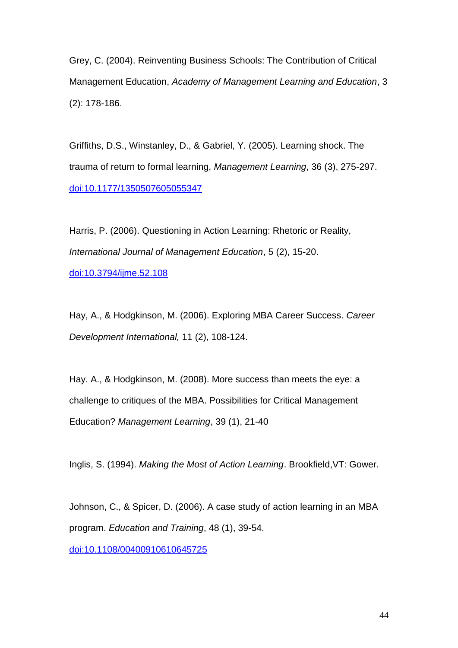Grey, C. (2004). Reinventing Business Schools: The Contribution of Critical Management Education, *Academy of Management Learning and Education*, 3 (2): 178-186.

Griffiths, D.S., Winstanley, D., & Gabriel, Y. (2005). Learning shock. The trauma of return to formal learning, *Management Learning*, 36 (3), 275-297. [doi:10.1177/1350507605055347](http://dx.doi.org/10.1177/1350507605055347)

Harris, P. (2006). Questioning in Action Learning: Rhetoric or Reality, *International Journal of Management Education*, 5 (2), 15-20. [doi:10.3794/ijme.52.108](http://dx.doi.org/10.3794/ijme.52.108)

Hay, A., & Hodgkinson, M. (2006). Exploring MBA Career Success. *Career Development International,* 11 (2), 108-124.

Hay. A., & Hodgkinson, M. (2008). More success than meets the eye: a challenge to critiques of the MBA. Possibilities for Critical Management Education? *Management Learning*, 39 (1), 21-40

Inglis, S. (1994). *Making the Most of Action Learning*. Brookfield,VT: Gower.

Johnson, C., & Spicer, D. (2006). A case study of action learning in an MBA program. *Education and Training*, 48 (1), 39-54. [doi:10.1108/00400910610645725](http://dx.doi.org/10.1108/00400910610645725)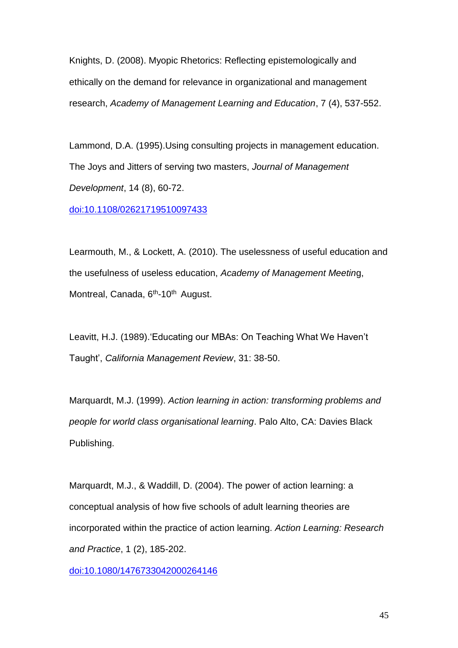Knights, D. (2008). Myopic Rhetorics: Reflecting epistemologically and ethically on the demand for relevance in organizational and management research, *Academy of Management Learning and Education*, 7 (4), 537-552.

Lammond, D.A. (1995).Using consulting projects in management education. The Joys and Jitters of serving two masters, *Journal of Management Development*, 14 (8), 60-72.

[doi:10.1108/02621719510097433](http://dx.doi.org/10.1108/02621719510097433)

Learmouth, M., & Lockett, A. (2010). The uselessness of useful education and the usefulness of useless education, *Academy of Management Meetin*g, Montreal, Canada, 6<sup>th</sup>-10<sup>th</sup> August.

Leavitt, H.J. (1989).'Educating our MBAs: On Teaching What We Haven't Taught', *California Management Review*, 31: 38-50.

Marquardt, M.J. (1999). *Action learning in action: transforming problems and people for world class organisational learning*. Palo Alto, CA: Davies Black Publishing.

Marquardt, M.J., & Waddill, D. (2004). The power of action learning: a conceptual analysis of how five schools of adult learning theories are incorporated within the practice of action learning. *Action Learning: Research and Practice*, 1 (2), 185-202.

[doi:10.1080/1476733042000264146](http://dx.doi.org/10.1080/1476733042000264146)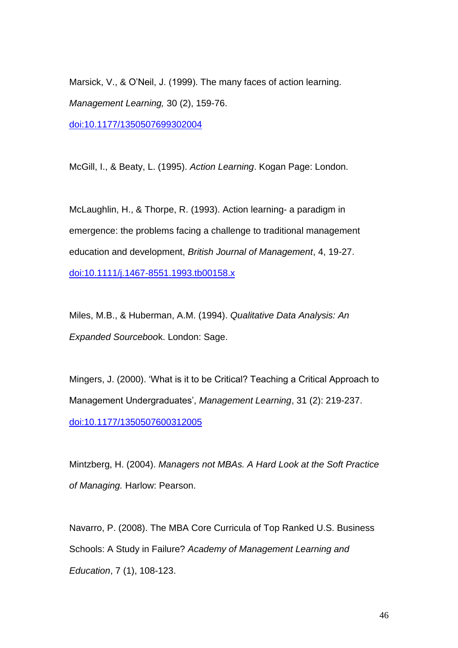Marsick, V., & O'Neil, J. (1999). The many faces of action learning. *Management Learning,* 30 (2), 159-76. [doi:10.1177/1350507699302004](http://dx.doi.org/10.1177/1350507699302004)

McGill, I., & Beaty, L. (1995). *Action Learning*. Kogan Page: London.

McLaughlin, H., & Thorpe, R. (1993). Action learning- a paradigm in emergence: the problems facing a challenge to traditional management education and development, *British Journal of Management*, 4, 19-27. [doi:10.1111/j.1467-8551.1993.tb00158.x](http://dx.doi.org/10.1111/j.1467-8551.1993.tb00158.x)

Miles, M.B., & Huberman, A.M. (1994). *Qualitative Data Analysis: An Expanded Sourceboo*k. London: Sage.

Mingers, J. (2000). 'What is it to be Critical? Teaching a Critical Approach to Management Undergraduates', *Management Learning*, 31 (2): 219-237. [doi:10.1177/1350507600312005](http://dx.doi.org/10.1177/1350507600312005)

Mintzberg, H. (2004). *Managers not MBAs. A Hard Look at the Soft Practice of Managing.* Harlow: Pearson.

Navarro, P. (2008). The MBA Core Curricula of Top Ranked U.S. Business Schools: A Study in Failure? *Academy of Management Learning and Education*, 7 (1), 108-123.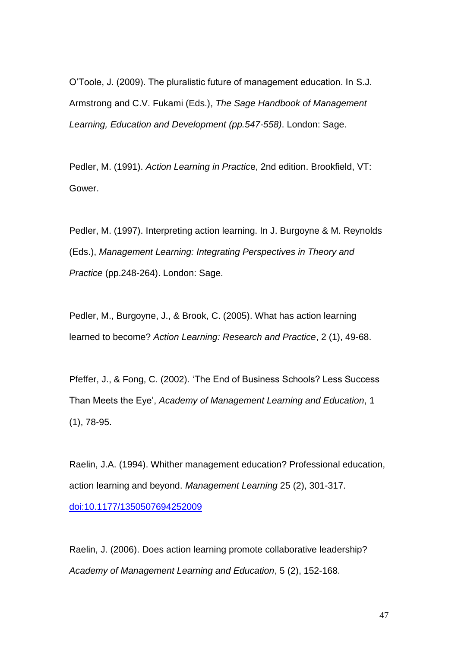O'Toole, J. (2009). The pluralistic future of management education. In S.J. Armstrong and C.V. Fukami (Eds.), *The Sage Handbook of Management Learning, Education and Development (pp.547-558)*. London: Sage.

Pedler, M. (1991). *Action Learning in Practic*e, 2nd edition. Brookfield, VT: Gower.

Pedler, M. (1997). Interpreting action learning. In J. Burgoyne & M. Reynolds (Eds.), *Management Learning: Integrating Perspectives in Theory and Practice* (pp.248-264). London: Sage.

Pedler, M., Burgoyne, J., & Brook, C. (2005). What has action learning learned to become? *Action Learning: Research and Practice*, 2 (1), 49-68.

Pfeffer, J., & Fong, C. (2002). 'The End of Business Schools? Less Success Than Meets the Eye', *Academy of Management Learning and Education*, 1 (1), 78-95.

Raelin, J.A. (1994). Whither management education? Professional education, action learning and beyond. *Management Learning* 25 (2), 301-317. [doi:10.1177/1350507694252009](http://dx.doi.org/10.1177/1350507694252009)

Raelin, J. (2006). Does action learning promote collaborative leadership? *Academy of Management Learning and Education*, 5 (2), 152-168.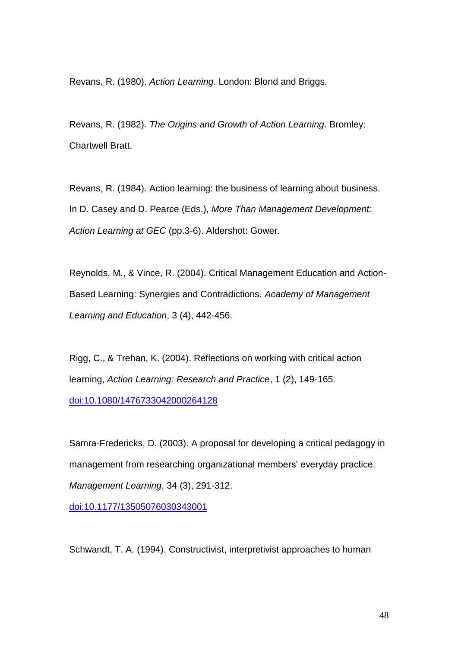Revans, R. (1980). *Action Learning*. London: Blond and Briggs.

Revans, R. (1982). *The Origins and Growth of Action Learning*. Bromley: Chartwell Bratt.

Revans, R. (1984). Action learning: the business of learning about business. In D. Casey and D. Pearce (Eds.), *More Than Management Development: Action Learning at GEC* (pp.3-6). Aldershot: Gower.

Reynolds, M., & Vince, R. (2004). Critical Management Education and Action-Based Learning: Synergies and Contradictions. *Academy of Management Learning and Education*, 3 (4), 442-456.

Rigg, C., & Trehan, K. (2004). Reflections on working with critical action learning, *Action Learning: Research and Practice*, 1 (2), 149-165. [doi:10.1080/1476733042000264128](http://dx.doi.org/10.1080/1476733042000264128)

Samra-Fredericks, D. (2003). A proposal for developing a critical pedagogy in management from researching organizational members' everyday practice. *Management Learning*, 34 (3), 291-312.

[doi:10.1177/13505076030343001](http://dx.doi.org/10.1177/13505076030343001)

Schwandt, T. A. (1994). Constructivist, interpretivist approaches to human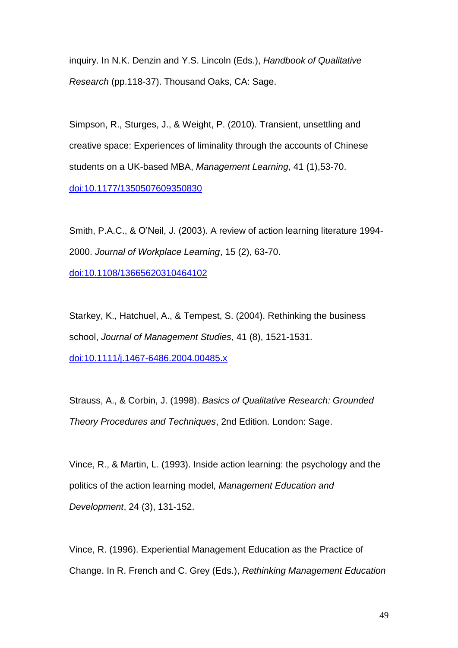inquiry. In N.K. Denzin and Y.S. Lincoln (Eds.), *Handbook of Qualitative Research* (pp.118-37). Thousand Oaks, CA: Sage.

Simpson, R., Sturges, J., & Weight, P. (2010). Transient, unsettling and creative space: Experiences of liminality through the accounts of Chinese students on a UK-based MBA, *Management Learning*, 41 (1),53-70. [doi:10.1177/1350507609350830](http://dx.doi.org/10.1177/1350507609350830)

Smith, P.A.C., & O'Neil, J. (2003). A review of action learning literature 1994- 2000. *Journal of Workplace Learning*, 15 (2), 63-70. [doi:10.1108/13665620310464102](http://dx.doi.org/10.1108/13665620310464102)

Starkey, K., Hatchuel, A., & Tempest, S. (2004). Rethinking the business school, *Journal of Management Studies*, 41 (8), 1521-1531. [doi:10.1111/j.1467-6486.2004.00485.x](http://dx.doi.org/10.1111/j.1467-6486.2004.00485.x)

Strauss, A., & Corbin, J. (1998). *Basics of Qualitative Research: Grounded Theory Procedures and Techniques*, 2nd Edition*.* London: Sage.

Vince, R., & Martin, L. (1993). Inside action learning: the psychology and the politics of the action learning model, *Management Education and Development*, 24 (3), 131-152.

Vince, R. (1996). Experiential Management Education as the Practice of Change. In R. French and C. Grey (Eds.), *Rethinking Management Education*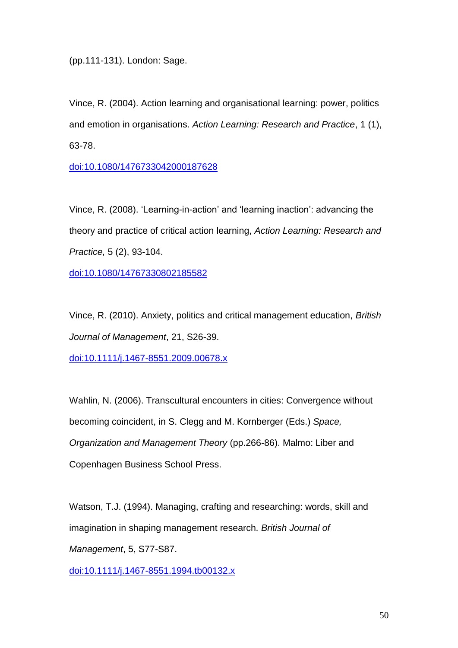(pp.111-131). London: Sage.

Vince, R. (2004). Action learning and organisational learning: power, politics and emotion in organisations. *Action Learning: Research and Practice*, 1 (1), 63-78.

[doi:10.1080/1476733042000187628](http://dx.doi.org/10.1080/1476733042000187628)

Vince, R. (2008). 'Learning-in-action' and 'learning inaction': advancing the theory and practice of critical action learning, *Action Learning: Research and Practice,* 5 (2), 93-104.

[doi:10.1080/14767330802185582](http://dx.doi.org/10.1080/14767330802185582)

Vince, R. (2010). Anxiety, politics and critical management education, *British Journal of Management*, 21, S26-39.

[doi:10.1111/j.1467-8551.2009.00678.x](http://dx.doi.org/10.1111/j.1467-8551.2009.00678.x)

Wahlin, N. (2006). Transcultural encounters in cities: Convergence without becoming coincident, in S. Clegg and M. Kornberger (Eds.) *Space, Organization and Management Theory* (pp.266-86). Malmo: Liber and Copenhagen Business School Press.

Watson, T.J. (1994). Managing, crafting and researching: words, skill and imagination in shaping management research. *British Journal of Management*, 5, S77-S87.

[doi:10.1111/j.1467-8551.1994.tb00132.x](http://dx.doi.org/10.1111/j.1467-8551.1994.tb00132.x)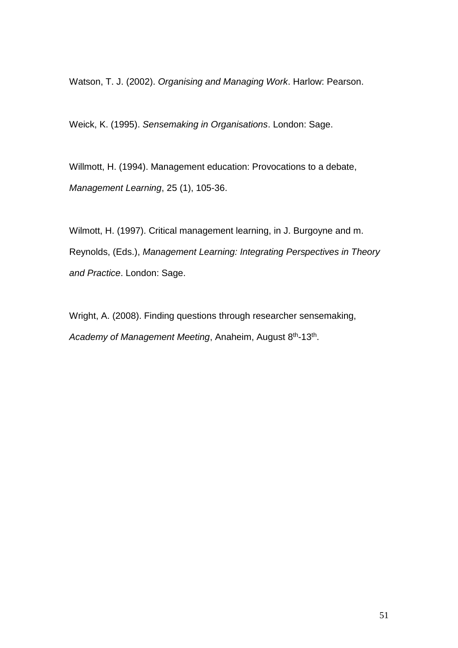Watson, T. J. (2002). *Organising and Managing Work*. Harlow: Pearson.

Weick, K. (1995). *Sensemaking in Organisations*. London: Sage.

Willmott, H. (1994). Management education: Provocations to a debate, *Management Learning*, 25 (1), 105-36.

Wilmott, H. (1997). Critical management learning, in J. Burgoyne and m. Reynolds, (Eds.), *Management Learning: Integrating Perspectives in Theory and Practice*. London: Sage.

Wright, A. (2008). Finding questions through researcher sensemaking, Academy of Management Meeting, Anaheim, August 8<sup>th</sup>-13<sup>th</sup>.